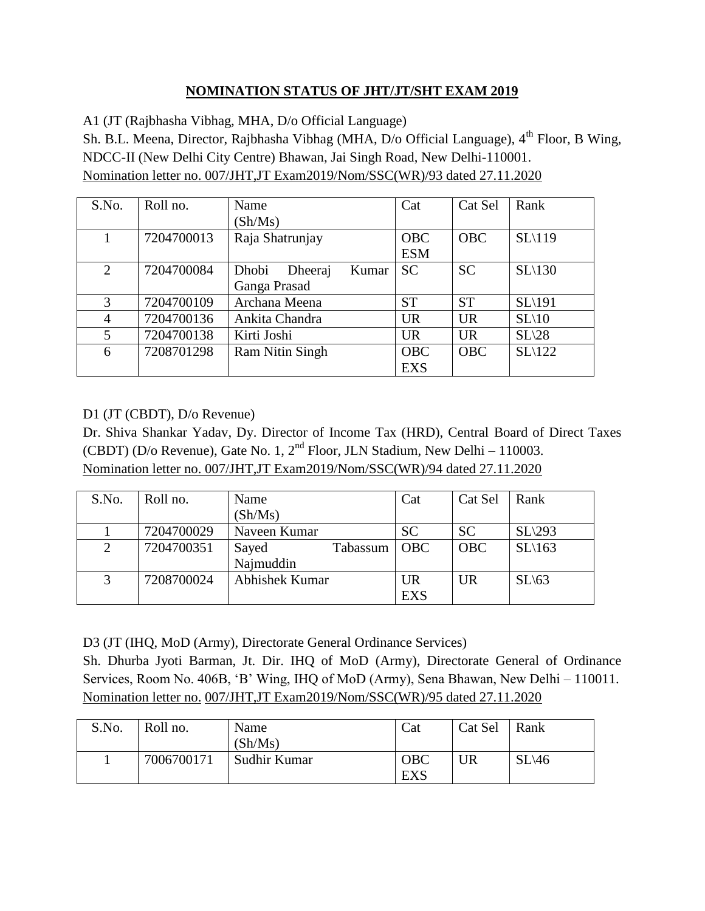## **NOMINATION STATUS OF JHT/JT/SHT EXAM 2019**

A1 (JT (Rajbhasha Vibhag, MHA, D/o Official Language)

Sh. B.L. Meena, Director, Rajbhasha Vibhag (MHA, D/o Official Language), 4<sup>th</sup> Floor, B Wing, NDCC-II (New Delhi City Centre) Bhawan, Jai Singh Road, New Delhi-110001. Nomination letter no. 007/JHT,JT Exam2019/Nom/SSC(WR)/93 dated 27.11.2020

| S.No. | Roll no.   | Name                      | Cat        | Cat Sel    | Rank    |
|-------|------------|---------------------------|------------|------------|---------|
|       |            | (Sh/Ms)                   |            |            |         |
|       | 7204700013 | Raja Shatrunjay           | <b>OBC</b> | <b>OBC</b> | SL(119) |
|       |            |                           | <b>ESM</b> |            |         |
| 2     | 7204700084 | Dhobi<br>Dheeraj<br>Kumar | <b>SC</b>  | <b>SC</b>  | SL(130) |
|       |            | Ganga Prasad              |            |            |         |
| 3     | 7204700109 | Archana Meena             | <b>ST</b>  | <b>ST</b>  | SL\191  |
| 4     | 7204700136 | Ankita Chandra            | <b>UR</b>  | <b>UR</b>  | SL(10)  |
| 5     | 7204700138 | Kirti Joshi               | <b>UR</b>  | <b>UR</b>  | SL(28)  |
| 6     | 7208701298 | <b>Ram Nitin Singh</b>    | <b>OBC</b> | <b>OBC</b> | SL(122) |
|       |            |                           | <b>EXS</b> |            |         |

## D1 (JT (CBDT), D/o Revenue)

Dr. Shiva Shankar Yadav, Dy. Director of Income Tax (HRD), Central Board of Direct Taxes (CBDT) (D/o Revenue), Gate No. 1,  $2<sup>nd</sup>$  Floor, JLN Stadium, New Delhi – 110003. Nomination letter no. 007/JHT,JT Exam2019/Nom/SSC(WR)/94 dated 27.11.2020

| S.No. | Roll no.   | Name           |          | Cat        | Cat Sel    | Rank              |
|-------|------------|----------------|----------|------------|------------|-------------------|
|       |            | (Sh/Ms)        |          |            |            |                   |
|       | 7204700029 | Naveen Kumar   |          | <b>SC</b>  | <b>SC</b>  | SL(293)           |
| 2     | 7204700351 | Sayed          | Tabassum | <b>OBC</b> | <b>OBC</b> | $SL\setminus 163$ |
|       |            | Najmuddin      |          |            |            |                   |
| 3     | 7208700024 | Abhishek Kumar |          | UR         | <b>UR</b>  | SL(63)            |
|       |            |                |          | <b>EXS</b> |            |                   |

D3 (JT (IHQ, MoD (Army), Directorate General Ordinance Services)

Sh. Dhurba Jyoti Barman, Jt. Dir. IHQ of MoD (Army), Directorate General of Ordinance Services, Room No. 406B, 'B' Wing, IHQ of MoD (Army), Sena Bhawan, New Delhi – 110011. Nomination letter no. 007/JHT,JT Exam2019/Nom/SSC(WR)/95 dated 27.11.2020

| S.No. | Roll no.   | Name<br>(Sh/Ms) | Cat                      | Cat Sel | Rank              |
|-------|------------|-----------------|--------------------------|---------|-------------------|
|       | 7006700171 | Sudhir Kumar    | <b>OBC</b><br><b>EXS</b> | UR      | $SL\backslash 46$ |